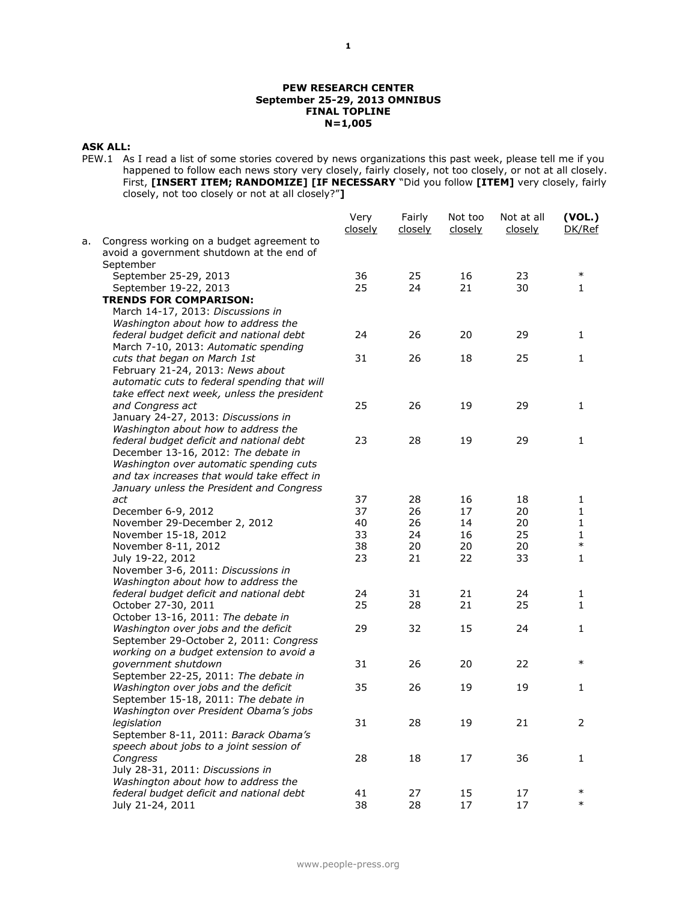### **PEW RESEARCH CENTER September 25-29, 2013 OMNIBUS FINAL TOPLINE N=1,005**

# **ASK ALL:**

PEW.1 As I read a list of some stories covered by news organizations this past week, please tell me if you happened to follow each news story very closely, fairly closely, not too closely, or not at all closely. First, **[INSERT ITEM; RANDOMIZE] [IF NECESSARY** "Did you follow **[ITEM]** very closely, fairly closely, not too closely or not at all closely?"**]**

|    |                                                                                                     | Very<br>closely | Fairly<br>closely | Not too<br>closely | Not at all<br>closely | (VOL.)<br>DK/Ref |
|----|-----------------------------------------------------------------------------------------------------|-----------------|-------------------|--------------------|-----------------------|------------------|
| а. | Congress working on a budget agreement to<br>avoid a government shutdown at the end of<br>September |                 |                   |                    |                       |                  |
|    | September 25-29, 2013                                                                               | 36              | 25                | 16                 | 23                    | $\ast$           |
|    | September 19-22, 2013                                                                               | 25              | 24                | 21                 | 30                    | 1                |
|    | <b>TRENDS FOR COMPARISON:</b>                                                                       |                 |                   |                    |                       |                  |
|    | March 14-17, 2013: Discussions in                                                                   |                 |                   |                    |                       |                  |
|    | Washington about how to address the                                                                 |                 |                   |                    |                       |                  |
|    | federal budget deficit and national debt                                                            | 24              | 26                | 20                 | 29                    | 1                |
|    | March 7-10, 2013: Automatic spending                                                                |                 |                   |                    |                       |                  |
|    | cuts that began on March 1st                                                                        | 31              | 26                | 18                 | 25                    | 1                |
|    | February 21-24, 2013: News about                                                                    |                 |                   |                    |                       |                  |
|    | automatic cuts to federal spending that will                                                        |                 |                   |                    |                       |                  |
|    | take effect next week, unless the president                                                         |                 |                   |                    |                       |                  |
|    | and Congress act                                                                                    | 25              | 26                | 19                 | 29                    | 1                |
|    | January 24-27, 2013: Discussions in<br>Washington about how to address the                          |                 |                   |                    |                       |                  |
|    | federal budget deficit and national debt                                                            | 23              | 28                | 19                 | 29                    | $\mathbf{1}$     |
|    | December 13-16, 2012: The debate in                                                                 |                 |                   |                    |                       |                  |
|    | Washington over automatic spending cuts                                                             |                 |                   |                    |                       |                  |
|    | and tax increases that would take effect in                                                         |                 |                   |                    |                       |                  |
|    | January unless the President and Congress                                                           |                 |                   |                    |                       |                  |
|    | act                                                                                                 | 37              | 28                | 16                 | 18                    | 1                |
|    | December 6-9, 2012                                                                                  | 37              | 26                | 17                 | 20                    | 1                |
|    | November 29-December 2, 2012                                                                        | 40              | 26                | 14                 | 20                    | 1                |
|    | November 15-18, 2012                                                                                | 33              | 24                | 16                 | 25                    | 1                |
|    | November 8-11, 2012                                                                                 | 38              | 20                | 20                 | 20                    | $\ast$           |
|    | July 19-22, 2012                                                                                    | 23              | 21                | 22                 | 33                    | $\mathbf{1}$     |
|    | November 3-6, 2011: Discussions in                                                                  |                 |                   |                    |                       |                  |
|    | Washington about how to address the                                                                 |                 |                   |                    |                       |                  |
|    | federal budget deficit and national debt                                                            | 24              | 31                | 21                 | 24                    | 1                |
|    | October 27-30, 2011                                                                                 | 25              | 28                | 21                 | 25                    | $\mathbf{1}$     |
|    | October 13-16, 2011: The debate in                                                                  |                 |                   |                    |                       |                  |
|    | Washington over jobs and the deficit                                                                | 29              | 32                | 15                 | 24                    | 1                |
|    | September 29-October 2, 2011: Congress                                                              |                 |                   |                    |                       |                  |
|    | working on a budget extension to avoid a<br>government shutdown                                     | 31              | 26                | 20                 | 22                    | $\ast$           |
|    | September 22-25, 2011: The debate in                                                                |                 |                   |                    |                       |                  |
|    | Washington over jobs and the deficit                                                                | 35              | 26                | 19                 | 19                    | 1                |
|    | September 15-18, 2011: The debate in                                                                |                 |                   |                    |                       |                  |
|    | Washington over President Obama's jobs                                                              |                 |                   |                    |                       |                  |
|    | legislation                                                                                         | 31              | 28                | 19                 | 21                    | $\overline{z}$   |
|    | September 8-11, 2011: Barack Obama's                                                                |                 |                   |                    |                       |                  |
|    | speech about jobs to a joint session of                                                             |                 |                   |                    |                       |                  |
|    | Congress                                                                                            | 28              | 18                | 17                 | 36                    | 1                |
|    | July 28-31, 2011: Discussions in                                                                    |                 |                   |                    |                       |                  |
|    | Washington about how to address the                                                                 |                 |                   |                    |                       |                  |
|    | federal budget deficit and national debt                                                            | 41              | 27                | 15                 | 17                    | $\ast$           |
|    | July 21-24, 2011                                                                                    | 38              | 28                | 17                 | 17                    | $\ast$           |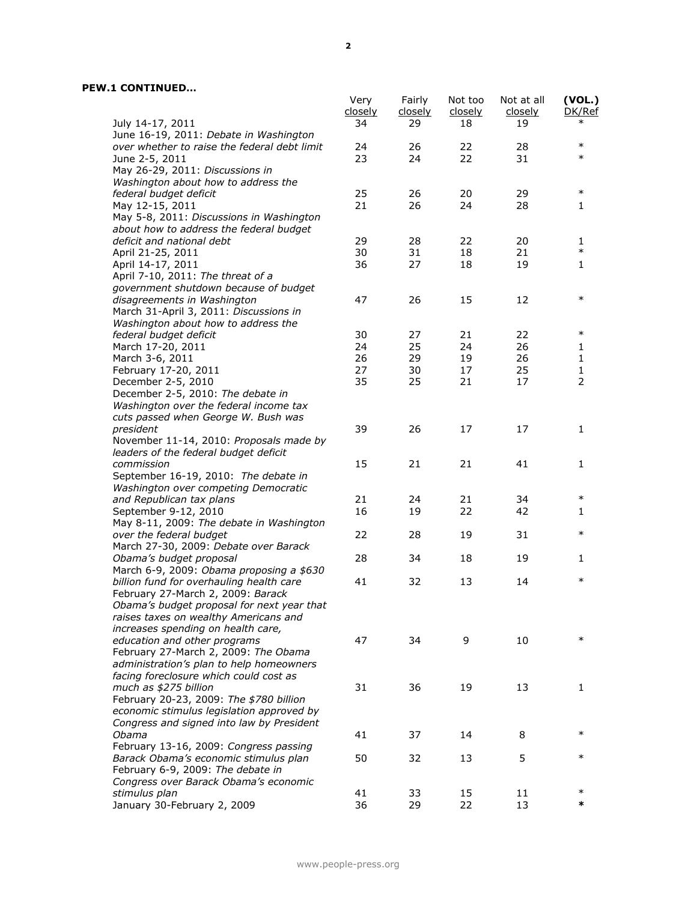|                                                                                      | Very<br>closely | Fairly<br>closely | Not too<br>closely | Not at all<br>closely | (VOL.)<br>DK/Ref |
|--------------------------------------------------------------------------------------|-----------------|-------------------|--------------------|-----------------------|------------------|
| July 14-17, 2011<br>June 16-19, 2011: Debate in Washington                           | 34              | 29                | 18                 | 19                    | $\ast$           |
| over whether to raise the federal debt limit                                         | 24              | 26                | 22                 | 28                    | $\ast$           |
| June 2-5, 2011                                                                       | 23              | 24                | 22                 | 31                    | $\ast$           |
| May 26-29, 2011: Discussions in                                                      |                 |                   |                    |                       |                  |
| Washington about how to address the                                                  |                 |                   |                    |                       |                  |
| federal budget deficit                                                               | 25              | 26                | 20                 | 29                    | $\ast$           |
| May 12-15, 2011                                                                      | 21              | 26                | 24                 | 28                    | 1                |
| May 5-8, 2011: Discussions in Washington                                             |                 |                   |                    |                       |                  |
| about how to address the federal budget                                              |                 |                   |                    |                       |                  |
| deficit and national debt                                                            | 29              | 28                | 22                 | 20                    | 1                |
| April 21-25, 2011                                                                    | 30              | 31                | 18                 | 21                    | $\ast$           |
| April 14-17, 2011                                                                    | 36              | 27                | 18                 | 19                    | 1                |
| April 7-10, 2011: The threat of a                                                    |                 |                   |                    |                       |                  |
| government shutdown because of budget                                                |                 |                   |                    |                       | $\ast$           |
| disagreements in Washington                                                          | 47              | 26                | 15                 | 12                    |                  |
| March 31-April 3, 2011: Discussions in<br>Washington about how to address the        |                 |                   |                    |                       |                  |
| federal budget deficit                                                               | 30              | 27                | 21                 | 22                    | $\ast$           |
| March 17-20, 2011                                                                    | 24              | 25                | 24                 | 26                    | 1                |
| March 3-6, 2011                                                                      | 26              | 29                | 19                 | 26                    | 1                |
| February 17-20, 2011                                                                 | 27              | 30                | 17                 | 25                    | 1                |
| December 2-5, 2010                                                                   | 35              | 25                | 21                 | 17                    | $\overline{2}$   |
| December 2-5, 2010: The debate in                                                    |                 |                   |                    |                       |                  |
| Washington over the federal income tax                                               |                 |                   |                    |                       |                  |
| cuts passed when George W. Bush was                                                  |                 |                   |                    |                       |                  |
| president                                                                            | 39              | 26                | 17                 | 17                    | 1                |
| November 11-14, 2010: Proposals made by                                              |                 |                   |                    |                       |                  |
| leaders of the federal budget deficit                                                |                 |                   |                    |                       |                  |
| commission                                                                           | 15              | 21                | 21                 | 41                    | $\mathbf{1}$     |
| September 16-19, 2010: The debate in                                                 |                 |                   |                    |                       |                  |
| Washington over competing Democratic                                                 |                 |                   |                    |                       |                  |
| and Republican tax plans                                                             | 21              | 24                | 21                 | 34                    | $\ast$           |
| September 9-12, 2010                                                                 | 16              | 19                | 22                 | 42                    | 1                |
| May 8-11, 2009: The debate in Washington                                             |                 |                   |                    |                       |                  |
| over the federal budget                                                              | 22              | 28                | 19                 | 31                    | $\ast$           |
| March 27-30, 2009: Debate over Barack                                                |                 |                   |                    |                       |                  |
| Obama's budget proposal                                                              | 28              | 34                | 18                 | 19                    | 1                |
| March 6-9, 2009: Obama proposing a \$630<br>billion fund for overhauling health care | 41              | 32                | 13                 | 14                    | $\ast$           |
| February 27-March 2, 2009: Barack                                                    |                 |                   |                    |                       |                  |
| Obama's budget proposal for next year that                                           |                 |                   |                    |                       |                  |
| raises taxes on wealthy Americans and                                                |                 |                   |                    |                       |                  |
| increases spending on health care,                                                   |                 |                   |                    |                       |                  |
| education and other programs                                                         | 47              | 34                | 9                  | 10                    | $\ast$           |
| February 27-March 2, 2009: The Obama                                                 |                 |                   |                    |                       |                  |
| administration's plan to help homeowners                                             |                 |                   |                    |                       |                  |
| facing foreclosure which could cost as                                               |                 |                   |                    |                       |                  |
| much as \$275 billion                                                                | 31              | 36                | 19                 | 13                    | 1                |
| February 20-23, 2009: The \$780 billion                                              |                 |                   |                    |                       |                  |
| economic stimulus legislation approved by                                            |                 |                   |                    |                       |                  |
| Congress and signed into law by President                                            |                 |                   |                    |                       |                  |
| Obama                                                                                | 41              | 37                | 14                 | 8                     | $\ast$           |
| February 13-16, 2009: Congress passing                                               |                 |                   |                    |                       |                  |
| Barack Obama's economic stimulus plan                                                | 50              | 32                | 13                 | 5                     | $\ast$           |
| February 6-9, 2009: The debate in                                                    |                 |                   |                    |                       |                  |
| Congress over Barack Obama's economic                                                |                 |                   |                    |                       | $\ast$           |
| stimulus plan                                                                        | 41              | 33                | 15                 | 11                    | *                |
| January 30-February 2, 2009                                                          | 36              | 29                | 22                 | 13                    |                  |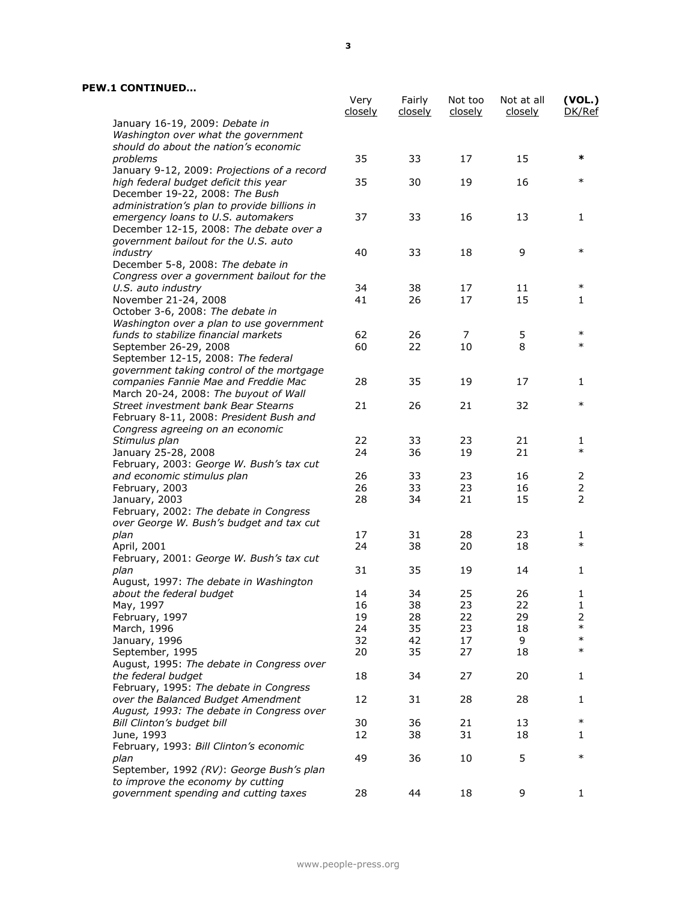|                                                              | Very<br><u>closely</u> | Fairly<br><u>closely</u> | Not too<br>closely | Not at all<br><u>closely</u> | (VOL.)<br>DK/Ref |
|--------------------------------------------------------------|------------------------|--------------------------|--------------------|------------------------------|------------------|
| January 16-19, 2009: Debate in                               |                        |                          |                    |                              |                  |
| Washington over what the government                          |                        |                          |                    |                              |                  |
| should do about the nation's economic                        |                        |                          |                    |                              |                  |
| problems                                                     | 35                     | 33                       | 17                 | 15                           | *                |
| January 9-12, 2009: Projections of a record                  |                        |                          |                    |                              |                  |
| high federal budget deficit this year                        | 35                     | 30                       | 19                 | 16                           | $\ast$           |
| December 19-22, 2008: The Bush                               |                        |                          |                    |                              |                  |
| administration's plan to provide billions in                 |                        |                          |                    |                              |                  |
| emergency loans to U.S. automakers                           | 37                     | 33                       | 16                 | 13                           | 1                |
| December 12-15, 2008: The debate over a                      |                        |                          |                    |                              |                  |
| government bailout for the U.S. auto                         |                        |                          |                    |                              | $\ast$           |
| industry                                                     | 40                     | 33                       | 18                 | 9                            |                  |
| December 5-8, 2008: The debate in                            |                        |                          |                    |                              |                  |
| Congress over a government bailout for the                   | 34                     | 38                       | 17                 | 11                           | $\ast$           |
| U.S. auto industry<br>November 21-24, 2008                   | 41                     | 26                       | 17                 | 15                           | 1                |
| October 3-6, 2008: The debate in                             |                        |                          |                    |                              |                  |
| Washington over a plan to use government                     |                        |                          |                    |                              |                  |
| funds to stabilize financial markets                         | 62                     | 26                       | 7                  | 5                            | $\ast$           |
| September 26-29, 2008                                        | 60                     | 22                       | 10                 | 8                            | $\ast$           |
| September 12-15, 2008: The federal                           |                        |                          |                    |                              |                  |
| government taking control of the mortgage                    |                        |                          |                    |                              |                  |
| companies Fannie Mae and Freddie Mac                         | 28                     | 35                       | 19                 | 17                           | 1                |
| March 20-24, 2008: The buyout of Wall                        |                        |                          |                    |                              |                  |
| Street investment bank Bear Stearns                          | 21                     | 26                       | 21                 | 32                           | $\ast$           |
| February 8-11, 2008: President Bush and                      |                        |                          |                    |                              |                  |
| Congress agreeing on an economic                             |                        |                          |                    |                              |                  |
| Stimulus plan                                                | 22                     | 33                       | 23                 | 21                           | 1                |
| January 25-28, 2008                                          | 24                     | 36                       | 19                 | 21                           | $\ast$           |
| February, 2003: George W. Bush's tax cut                     |                        |                          |                    |                              |                  |
| and economic stimulus plan                                   | 26                     | 33                       | 23                 | 16                           | 2                |
| February, 2003                                               | 26                     | 33                       | 23                 | 16                           | $\overline{2}$   |
| January, 2003                                                | 28                     | 34                       | 21                 | 15                           | $\overline{2}$   |
| February, 2002: The debate in Congress                       |                        |                          |                    |                              |                  |
| over George W. Bush's budget and tax cut                     |                        |                          |                    |                              |                  |
| plan                                                         | 17                     | 31                       | 28                 | 23                           | 1                |
| April, 2001                                                  | 24                     | 38                       | 20                 | 18                           | $\ast$           |
| February, 2001: George W. Bush's tax cut                     |                        |                          |                    |                              |                  |
| plan                                                         | 31                     | 35                       | 19                 | 14                           | 1                |
| August, 1997: The debate in Washington                       |                        |                          |                    |                              |                  |
| about the federal budget                                     | 14                     | 34                       | 25                 | 26                           | 1                |
| May, 1997                                                    | 16                     | 38                       | 23                 | 22                           | 1                |
| February, 1997                                               | 19                     | 28                       | 22                 | 29                           | 2<br>$\ast$      |
| March, 1996                                                  | 24                     | 35                       | 23                 | 18                           | $\ast$           |
| January, 1996                                                | 32<br>20               | 42                       | 17                 | 9<br>18                      | $\ast$           |
| September, 1995                                              |                        | 35                       | 27                 |                              |                  |
| August, 1995: The debate in Congress over                    | 18                     | 34                       | 27                 | 20                           |                  |
| the federal budget<br>February, 1995: The debate in Congress |                        |                          |                    |                              | 1                |
| over the Balanced Budget Amendment                           | 12                     | 31                       | 28                 | 28                           | 1                |
| August, 1993: The debate in Congress over                    |                        |                          |                    |                              |                  |
| Bill Clinton's budget bill                                   | 30                     | 36                       | 21                 | 13                           | $\ast$           |
| June, 1993                                                   | 12                     | 38                       | 31                 | 18                           | 1                |
| February, 1993: Bill Clinton's economic                      |                        |                          |                    |                              |                  |
| plan                                                         | 49                     | 36                       | 10                 | 5                            | $\ast$           |
| September, 1992 (RV): George Bush's plan                     |                        |                          |                    |                              |                  |
| to improve the economy by cutting                            |                        |                          |                    |                              |                  |
| government spending and cutting taxes                        | 28                     | 44                       | 18                 | 9                            | 1                |
|                                                              |                        |                          |                    |                              |                  |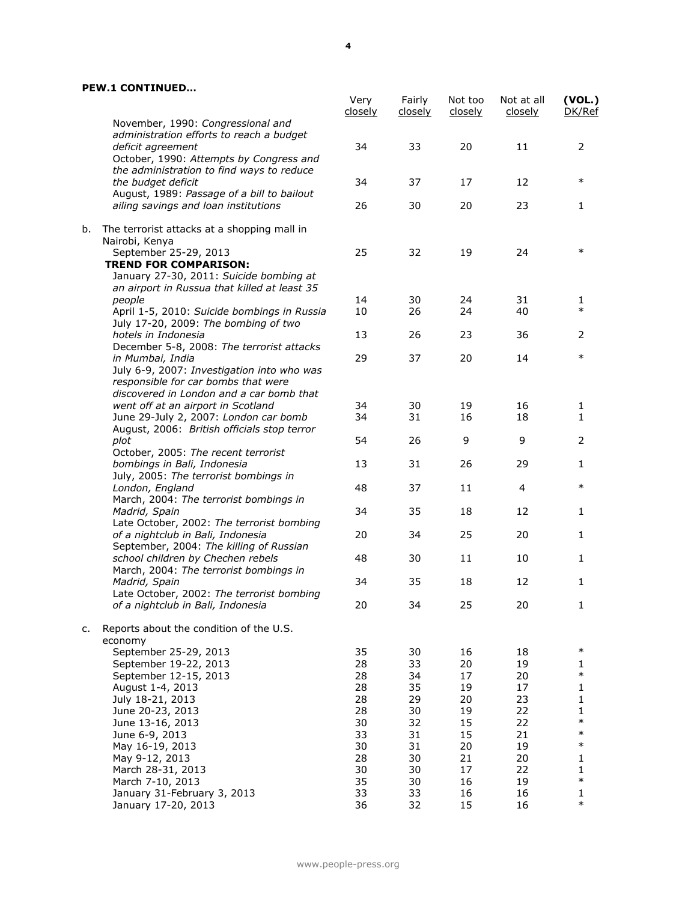|    |                                                            | Very<br>closely | Fairly<br><u>closely</u> | Not too<br>closely | Not at all<br>closely | (VOL.)<br>DK/Ref |
|----|------------------------------------------------------------|-----------------|--------------------------|--------------------|-----------------------|------------------|
|    | November, 1990: Congressional and                          |                 |                          |                    |                       |                  |
|    | administration efforts to reach a budget                   |                 |                          |                    |                       |                  |
|    | deficit agreement                                          | 34              | 33                       | 20                 | 11                    | 2                |
|    | October, 1990: Attempts by Congress and                    |                 |                          |                    |                       |                  |
|    | the administration to find ways to reduce                  |                 |                          |                    |                       | $\ast$           |
|    | the budget deficit                                         | 34              | 37                       | 17                 | 12                    |                  |
|    | August, 1989: Passage of a bill to bailout                 |                 |                          |                    |                       |                  |
|    | ailing savings and loan institutions                       | 26              | 30                       | 20                 | 23                    | 1                |
| b. | The terrorist attacks at a shopping mall in                |                 |                          |                    |                       |                  |
|    | Nairobi, Kenya                                             |                 |                          |                    |                       |                  |
|    | September 25-29, 2013                                      | 25              | 32                       | 19                 | 24                    | $\ast$           |
|    | <b>TREND FOR COMPARISON:</b>                               |                 |                          |                    |                       |                  |
|    | January 27-30, 2011: Suicide bombing at                    |                 |                          |                    |                       |                  |
|    | an airport in Russua that killed at least 35               |                 |                          |                    |                       |                  |
|    | people                                                     | 14              | 30                       | 24                 | 31                    | 1                |
|    | April 1-5, 2010: Suicide bombings in Russia                | 10              | 26                       | 24                 | 40                    | $\ast$           |
|    | July 17-20, 2009: The bombing of two                       |                 |                          |                    |                       |                  |
|    | hotels in Indonesia                                        | 13              | 26                       | 23                 | 36                    | 2                |
|    | December 5-8, 2008: The terrorist attacks                  |                 |                          |                    |                       |                  |
|    | in Mumbai, India                                           | 29              | 37                       | 20                 | 14                    | $\ast$           |
|    | July 6-9, 2007: Investigation into who was                 |                 |                          |                    |                       |                  |
|    | responsible for car bombs that were                        |                 |                          |                    |                       |                  |
|    | discovered in London and a car bomb that                   |                 |                          |                    |                       |                  |
|    | went off at an airport in Scotland                         | 34              | 30                       | 19                 | 16                    | 1                |
|    | June 29-July 2, 2007: London car bomb                      | 34              | 31                       | 16                 | 18                    | $\mathbf{1}$     |
|    | August, 2006: British officials stop terror                |                 |                          |                    |                       |                  |
|    | plot                                                       | 54              | 26                       | 9                  | 9                     | 2                |
|    | October, 2005: The recent terrorist                        |                 |                          |                    |                       |                  |
|    | bombings in Bali, Indonesia                                | 13              | 31                       | 26                 | 29                    | 1                |
|    | July, 2005: The terrorist bombings in                      |                 |                          |                    |                       |                  |
|    | London, England                                            | 48              | 37                       | 11                 | 4                     | $\ast$           |
|    | March, 2004: The terrorist bombings in                     |                 |                          |                    |                       |                  |
|    | Madrid, Spain<br>Late October, 2002: The terrorist bombing | 34              | 35                       | 18                 | 12                    | 1                |
|    | of a nightclub in Bali, Indonesia                          | 20              | 34                       | 25                 | 20                    | 1                |
|    | September, 2004: The killing of Russian                    |                 |                          |                    |                       |                  |
|    | school children by Chechen rebels                          | 48              | 30                       | 11                 | 10                    | 1                |
|    | March, 2004: The terrorist bombings in                     |                 |                          |                    |                       |                  |
|    | Madrid, Spain                                              | 34              | 35                       | 18                 | 12                    | 1                |
|    | Late October, 2002: The terrorist bombing                  |                 |                          |                    |                       |                  |
|    | of a nightclub in Bali, Indonesia                          | 20              | 34                       | 25                 | 20                    | 1.               |
|    |                                                            |                 |                          |                    |                       |                  |
| c. | Reports about the condition of the U.S.                    |                 |                          |                    |                       |                  |
|    | economy                                                    |                 |                          |                    |                       |                  |
|    | September 25-29, 2013                                      | 35              | 30                       | 16                 | 18                    | $\ast$           |
|    | September 19-22, 2013                                      | 28              | 33                       | 20                 | 19                    | 1<br>$\ast$      |
|    | September 12-15, 2013                                      | 28              | 34                       | 17                 | 20                    |                  |
|    | August 1-4, 2013                                           | 28              | 35                       | 19                 | 17                    | 1                |
|    | July 18-21, 2013<br>June 20-23, 2013                       | 28<br>28        | 29<br>30                 | 20<br>19           | 23<br>22              | 1                |
|    |                                                            | 30              | 32                       | 15                 | 22                    | 1<br>$\ast$      |
|    | June 13-16, 2013<br>June 6-9, 2013                         | 33              | 31                       | 15                 | 21                    | $\ast$           |
|    | May 16-19, 2013                                            | 30              | 31                       | 20                 | 19                    | $\ast$           |
|    | May 9-12, 2013                                             | 28              | 30                       | 21                 | 20                    | 1                |
|    | March 28-31, 2013                                          | 30              | 30                       | 17                 | 22                    | 1                |
|    | March 7-10, 2013                                           | 35              | 30                       | 16                 | 19                    | $\ast$           |
|    | January 31-February 3, 2013                                | 33              | 33                       | 16                 | 16                    | 1                |
|    | January 17-20, 2013                                        | 36              | 32                       | 15                 | 16                    | $\ast$           |
|    |                                                            |                 |                          |                    |                       |                  |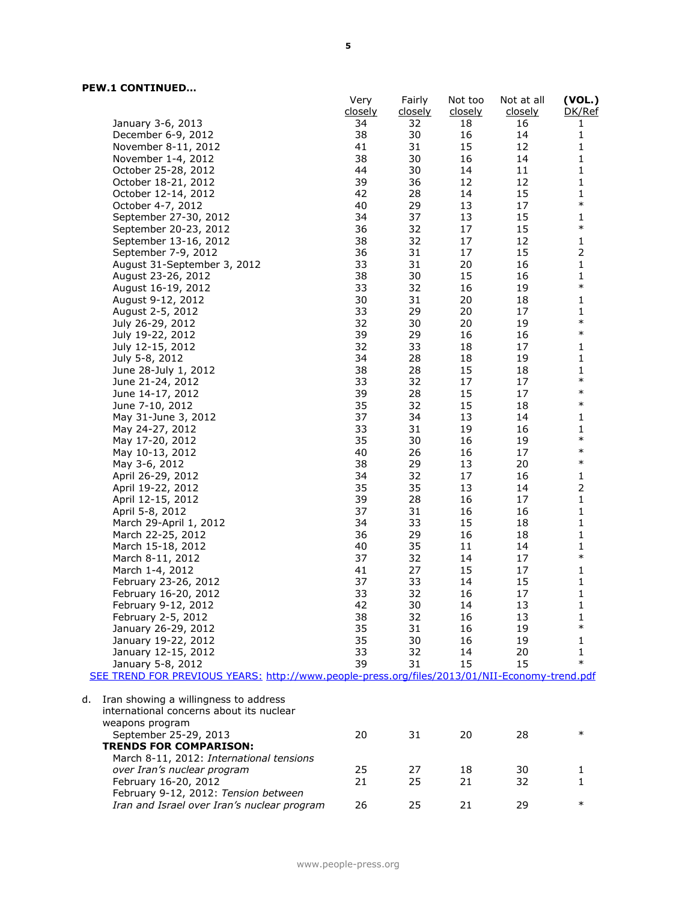|                                                                                               | Very<br>closely | Fairly<br><u>closely</u> | Not too<br><u>closely</u> | Not at all<br><u>closely</u> | (VOL.)<br>DK/Ref       |
|-----------------------------------------------------------------------------------------------|-----------------|--------------------------|---------------------------|------------------------------|------------------------|
| January 3-6, 2013                                                                             | 34              | 32                       | 18                        | 16                           | 1                      |
| December 6-9, 2012                                                                            | 38              | 30                       | 16                        | 14                           | $\mathbf 1$            |
| November 8-11, 2012                                                                           | 41              | 31                       | 15                        | 12                           | 1                      |
| November 1-4, 2012                                                                            | 38              | 30                       | 16                        | 14                           | 1                      |
| October 25-28, 2012                                                                           | 44              | 30                       | 14                        | 11                           | $\mathbf{1}$           |
|                                                                                               | 39              | 36                       | 12                        | 12                           | $\mathbf{1}$           |
| October 18-21, 2012                                                                           |                 |                          |                           | 15                           | $\mathbf{1}$           |
| October 12-14, 2012                                                                           | 42<br>40        | 28<br>29                 | 14<br>13                  | 17                           | $\ast$                 |
| October 4-7, 2012                                                                             | 34              | 37                       |                           | 15                           |                        |
| September 27-30, 2012                                                                         |                 |                          | 13                        |                              | $\mathbf 1$<br>$\ast$  |
| September 20-23, 2012                                                                         | 36              | 32                       | 17                        | 15                           |                        |
| September 13-16, 2012                                                                         | 38              | 32                       | 17                        | 12                           | $\mathbf 1$            |
| September 7-9, 2012                                                                           | 36<br>33        | 31                       | 17<br>20                  | 15                           | $\mathsf{2}\,$         |
| August 31-September 3, 2012                                                                   |                 | 31                       |                           | 16                           | $\mathbf{1}$           |
| August 23-26, 2012                                                                            | 38              | 30                       | 15                        | 16                           | $\mathbf{1}$<br>$\ast$ |
| August 16-19, 2012                                                                            | 33              | 32                       | 16                        | 19                           |                        |
| August 9-12, 2012                                                                             | 30              | 31                       | 20                        | 18                           | $\mathbf 1$            |
| August 2-5, 2012                                                                              | 33              | 29                       | 20                        | 17                           | 1<br>$\ast$            |
| July 26-29, 2012                                                                              | 32              | 30                       | 20                        | 19                           |                        |
| July 19-22, 2012                                                                              | 39              | 29                       | 16                        | 16                           | $\ast$                 |
| July 12-15, 2012                                                                              | 32              | 33                       | 18                        | 17                           | $\mathbf{1}$           |
| July 5-8, 2012                                                                                | 34              | 28                       | 18                        | 19                           | 1                      |
| June 28-July 1, 2012                                                                          | 38              | 28                       | 15                        | 18                           | 1                      |
| June 21-24, 2012                                                                              | 33              | 32                       | 17                        | 17                           | $\ast$                 |
| June 14-17, 2012                                                                              | 39              | 28                       | 15                        | 17                           | $\ast$                 |
| June 7-10, 2012                                                                               | 35              | 32                       | 15                        | 18                           | $\ast$                 |
| May 31-June 3, 2012                                                                           | 37              | 34                       | 13                        | 14                           | $\mathbf{1}$           |
| May 24-27, 2012                                                                               | 33              | 31                       | 19                        | 16                           | $\mathbf 1$            |
| May 17-20, 2012                                                                               | 35              | 30                       | 16                        | 19                           | $\ast$                 |
| May 10-13, 2012                                                                               | 40              | 26                       | 16                        | 17                           | $\ast$                 |
| May 3-6, 2012                                                                                 | 38              | 29                       | 13                        | 20                           | $\ast$                 |
| April 26-29, 2012                                                                             | 34              | 32                       | 17                        | 16                           | $\mathbf{1}$           |
| April 19-22, 2012                                                                             | 35              | 35                       | 13                        | 14                           |                        |
| April 12-15, 2012                                                                             | 39              | 28                       | 16                        | 17                           | $\mathbf 1$            |
| April 5-8, 2012                                                                               | 37              | 31                       | 16                        | 16                           | $\mathbf{1}$           |
| March 29-April 1, 2012                                                                        | 34              | 33                       | 15                        | 18                           | $\mathbf{1}$           |
| March 22-25, 2012                                                                             | 36              | 29                       | 16                        | 18                           | $\mathbf 1$            |
| March 15-18, 2012                                                                             | 40              | 35                       | 11                        | 14                           | $\mathbf{1}$           |
| March 8-11, 2012                                                                              | 37              | 32                       | 14                        | 17                           | $\ast$                 |
| March 1-4, 2012                                                                               | 41              | 27                       | 15                        | 17                           | 1                      |
| February 23-26, 2012                                                                          | 37              | 33                       | 14                        | 15                           | $\mathbf 1$            |
| February 16-20, 2012                                                                          | 33              | 32                       | 16                        | 17                           | $\mathbf{1}$           |
| February 9-12, 2012                                                                           | 42              | 30                       | 14                        | 13                           | 1                      |
| February 2-5, 2012                                                                            | 38              | 32                       | 16                        | 13                           | 1                      |
| January 26-29, 2012                                                                           | 35              | 31                       | 16                        | 19                           | $\ast$                 |
| January 19-22, 2012                                                                           | 35              | 30                       | 16                        | 19                           | 1                      |
| January 12-15, 2012                                                                           | 33              | 32                       | 14                        | 20                           | 1                      |
| January 5-8, 2012                                                                             | 39              | 31                       | 15                        | 15                           | $\ast$                 |
| SEE TREND FOR PREVIOUS YEARS: http://www.people-press.org/files/2013/01/NII-Economy-trend.pdf |                 |                          |                           |                              |                        |
|                                                                                               |                 |                          |                           |                              |                        |
| Iran showing a willingness to address<br>d.                                                   |                 |                          |                           |                              |                        |
| international concerns about its nuclear                                                      |                 |                          |                           |                              |                        |
| weapons program                                                                               |                 |                          |                           |                              |                        |
| September 25-29, 2013                                                                         | 20              | 31                       | 20                        | 28                           | $\ast$                 |
| <b>TRENDS FOR COMPARISON:</b>                                                                 |                 |                          |                           |                              |                        |
| March 8-11, 2012: International tensions                                                      |                 |                          |                           |                              |                        |
| over Iran's nuclear program                                                                   | 25              | 27                       | 18                        | 30                           | 1                      |
| February 16-20, 2012                                                                          | 21              | 25                       | 21                        | 32                           | 1                      |
| February 9-12, 2012: Tension between                                                          |                 |                          |                           |                              |                        |
| Iran and Israel over Iran's nuclear program                                                   | 26              | 25                       | 21                        | 29                           | $\ast$                 |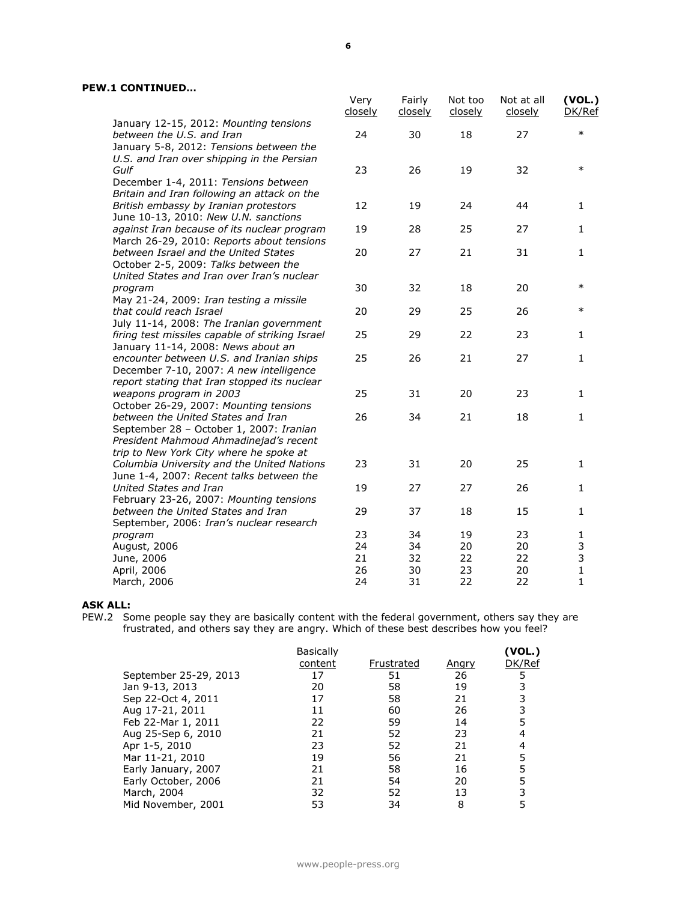|                                                                                                                              | Very<br>closely | Fairly<br>closely | Not too<br>closely | Not at all<br>closely | (VOL.)<br>DK/Ref |
|------------------------------------------------------------------------------------------------------------------------------|-----------------|-------------------|--------------------|-----------------------|------------------|
| January 12-15, 2012: Mounting tensions<br>between the U.S. and Iran<br>January 5-8, 2012: Tensions between the               | 24              | 30                | 18                 | 27                    | $\ast$           |
| U.S. and Iran over shipping in the Persian<br>Gulf                                                                           | 23              | 26                | 19                 | 32                    | $\ast$           |
| December 1-4, 2011: Tensions between<br>Britain and Iran following an attack on the<br>British embassy by Iranian protestors | 12              | 19                | 24                 | 44                    | 1                |
| June 10-13, 2010: New U.N. sanctions<br>against Iran because of its nuclear program                                          | 19              | 28                | 25                 | 27                    | $\mathbf{1}$     |
| March 26-29, 2010: Reports about tensions<br>between Israel and the United States<br>October 2-5, 2009: Talks between the    | 20              | 27                | 21                 | 31                    | $\mathbf{1}$     |
| United States and Iran over Iran's nuclear<br>program                                                                        | 30              | 32                | 18                 | 20                    | $\ast$           |
| May 21-24, 2009: Iran testing a missile<br>that could reach Israel<br>July 11-14, 2008: The Iranian government               | 20              | 29                | 25                 | 26                    | $\ast$           |
| firing test missiles capable of striking Israel<br>January 11-14, 2008: News about an                                        | 25              | 29                | 22                 | 23                    | 1                |
| encounter between U.S. and Iranian ships<br>December 7-10, 2007: A new intelligence                                          | 25              | 26                | 21                 | 27                    | $\mathbf{1}$     |
| report stating that Iran stopped its nuclear<br>weapons program in 2003<br>October 26-29, 2007: Mounting tensions            | 25              | 31                | 20                 | 23                    | $\mathbf{1}$     |
| between the United States and Iran<br>September 28 - October 1, 2007: Iranian<br>President Mahmoud Ahmadinejad's recent      | 26              | 34                | 21                 | 18                    | $\mathbf{1}$     |
| trip to New York City where he spoke at<br>Columbia University and the United Nations                                        | 23              | 31                | 20                 | 25                    | $\mathbf{1}$     |
| June 1-4, 2007: Recent talks between the<br>United States and Iran<br>February 23-26, 2007: Mounting tensions                | 19              | 27                | 27                 | 26                    | 1                |
| between the United States and Iran<br>September, 2006: Iran's nuclear research                                               | 29              | 37                | 18                 | 15                    | $\mathbf{1}$     |
| program<br>August, 2006<br>June, 2006                                                                                        | 23<br>24<br>21  | 34<br>34<br>32    | 19<br>20<br>22     | 23<br>20<br>22        | 1<br>3<br>3      |
| April, 2006<br>March, 2006                                                                                                   | 26<br>24        | 30<br>31          | 23<br>22           | 20<br>22              | $\mathbf 1$<br>1 |

### **ASK ALL:**

PEW.2 Some people say they are basically content with the federal government, others say they are frustrated, and others say they are angry. Which of these best describes how you feel?

|                       | <b>Basically</b> |            |              | (VOL.) |
|-----------------------|------------------|------------|--------------|--------|
|                       | content          | Frustrated | <u>Angry</u> | DK/Ref |
| September 25-29, 2013 | 17               | 51         | 26           |        |
| Jan 9-13, 2013        | 20               | 58         | 19           |        |
| Sep 22-Oct 4, 2011    | 17               | 58         | 21           |        |
| Aug 17-21, 2011       | 11               | 60         | 26           |        |
| Feb 22-Mar 1, 2011    | 22               | 59         | 14           |        |
| Aug 25-Sep 6, 2010    | 21               | 52         | 23           |        |
| Apr 1-5, 2010         | 23               | 52         | 21           |        |
| Mar 11-21, 2010       | 19               | 56         | 21           |        |
| Early January, 2007   | 21               | 58         | 16           |        |
| Early October, 2006   | 21               | 54         | 20           |        |
| March, 2004           | 32               | 52         | 13           |        |
| Mid November, 2001    | 53               | 34         | 8            |        |